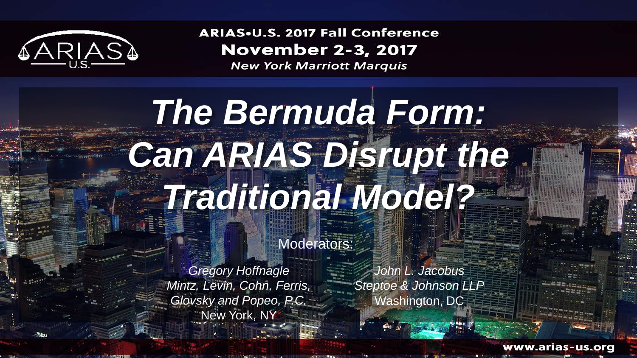

**ARIAS.U.S. 2017 Fall Conference November 2-3, 2017** 

**New York Marriott Marquis** 

# *The Bermuda Form: Can ARIAS Disrupt the Traditional Model?*

Moderators:

*Gregory Hoffnagle Mintz, Levin, Cohn, Ferris, Glovsky and Popeo, P.C.* New York, NY

**CONTRACTOR** CONTRACTOR

*John L. Jacobus Steptoe & Johnson LLP* Washington, DC

www.arias-us.org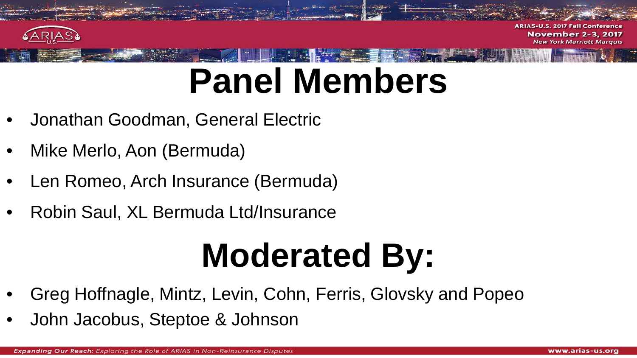

**ARIAS-U Fall Conference November 2-3, 2017 York Marriott Marquis** 

# **Panel Members**

- Jonathan Goodman, General Electric
- Mike Merlo, Aon (Bermuda)
- Len Romeo, Arch Insurance (Bermuda)
- Robin Saul, XL Bermuda Ltd/Insurance

## **Moderated By:**

- Greg Hoffnagle, Mintz, Levin, Cohn, Ferris, Glovsky and Popeo
- John Jacobus, Steptoe & Johnson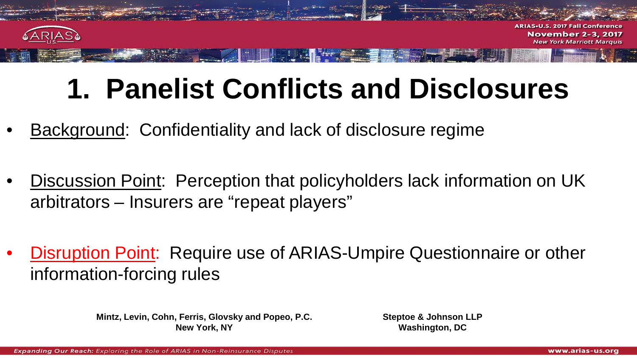

**ARIAS-U 2017 Fall Conference November 2-3, 2017 York Marriott Marquis** 

### **1. Panelist Conflicts and Disclosures**

- Background: Confidentiality and lack of disclosure regime
- Discussion Point: Perception that policyholders lack information on UK arbitrators – Insurers are "repeat players"
- Disruption Point: Require use of ARIAS-Umpire Questionnaire or other information-forcing rules

**Mintz, Levin, Cohn, Ferris, Glovsky and Popeo, P.C. New York, NY**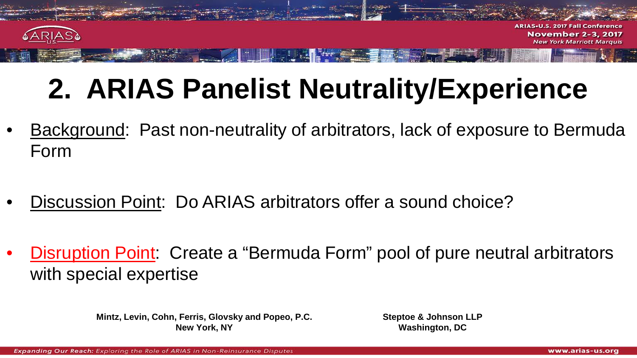

**ARIAS.U.S. 2017 Fall Conference November 2-3, 2017 New York Marriott Marquis** 

### **2. ARIAS Panelist Neutrality/Experience**

- Background: Past non-neutrality of arbitrators, lack of exposure to Bermuda Form
- Discussion Point: Do ARIAS arbitrators offer a sound choice?
- Disruption Point: Create a "Bermuda Form" pool of pure neutral arbitrators with special expertise

**Mintz, Levin, Cohn, Ferris, Glovsky and Popeo, P.C. New York, NY**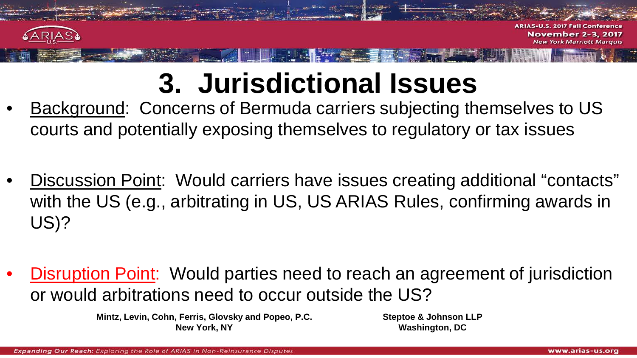

#### **3. Jurisdictional Issues**

- Background: Concerns of Bermuda carriers subjecting themselves to US courts and potentially exposing themselves to regulatory or tax issues
- Discussion Point: Would carriers have issues creating additional "contacts" with the US (e.g., arbitrating in US, US ARIAS Rules, confirming awards in US)?
- Disruption Point: Would parties need to reach an agreement of jurisdiction or would arbitrations need to occur outside the US?

**Mintz, Levin, Cohn, Ferris, Glovsky and Popeo, P.C. New York, NY**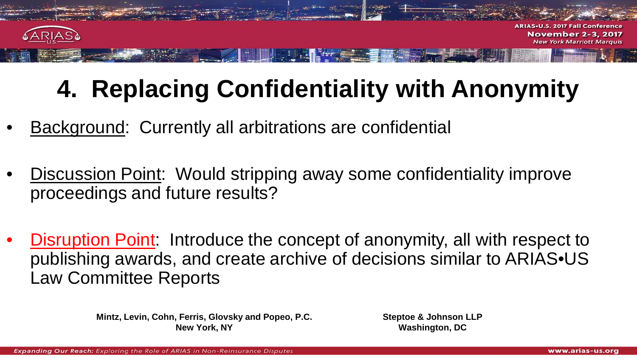

**ARIAS-U.S. 2017 Fall Conference November 2-3, 2017 York Marriott Marquis** 

#### **4. Replacing Confidentiality with Anonymity**

- **Background: Currently all arbitrations are confidential**
- **Discussion Point:** Would stripping away some confidentiality improve proceedings and future results?
- Disruption Point: Introduce the concept of anonymity, all with respect to publishing awards, and create archive of decisions similar to ARIAS•US Law Committee Reports

**Mintz, Levin, Cohn, Ferris, Glovsky and Popeo, P.C. New York, NY**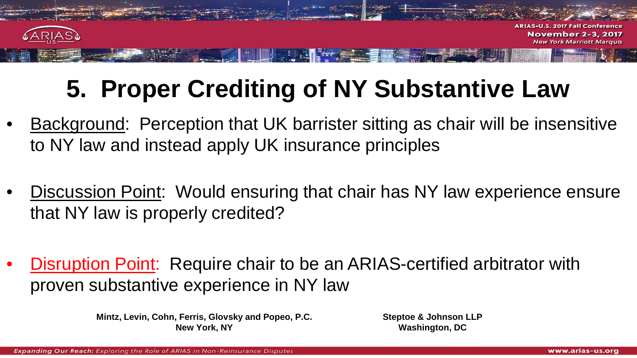

**2017 Fall Conference November 2-3, 2017** 

#### **5. Proper Crediting of NY Substantive Law**

- Background: Perception that UK barrister sitting as chair will be insensitive to NY law and instead apply UK insurance principles
- Discussion Point: Would ensuring that chair has NY law experience ensure that NY law is properly credited?
- Disruption Point: Require chair to be an ARIAS-certified arbitrator with proven substantive experience in NY law

**Mintz, Levin, Cohn, Ferris, Glovsky and Popeo, P.C. New York, NY**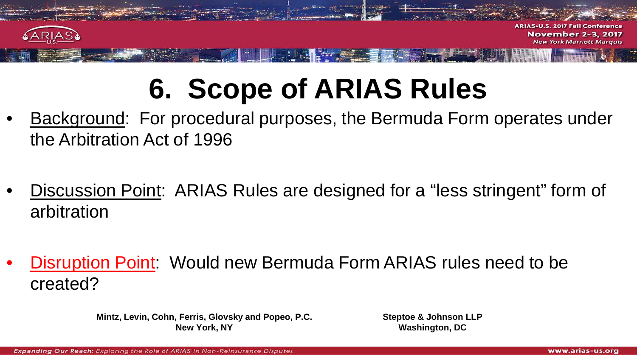

**ARIAS-U.S. 2017 Fall Conference November 2-3, 2017 York Marriott Marquis** 

### **6. Scope of ARIAS Rules**

- Background: For procedural purposes, the Bermuda Form operates under the Arbitration Act of 1996
- Discussion Point: ARIAS Rules are designed for a "less stringent" form of arbitration
- Disruption Point: Would new Bermuda Form ARIAS rules need to be created?

**Mintz, Levin, Cohn, Ferris, Glovsky and Popeo, P.C. New York, NY**